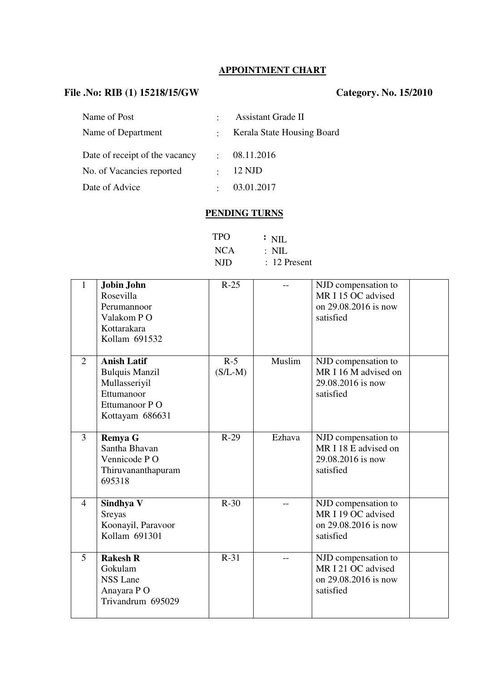# **APPOINTMENT CHART**

## **File .No: RIB (1) 15218/15/GW Category. No. 15/2010**

| Name of Post                   | $\bullet$            | <b>Assistant Grade II</b>  |
|--------------------------------|----------------------|----------------------------|
| Name of Department             | $\ddot{\phantom{a}}$ | Kerala State Housing Board |
| Date of receipt of the vacancy | $\bullet$            | 08.11.2016                 |
| No. of Vacancies reported      | $\bullet$            | 12 NJD                     |
| Date of Advice                 | $\bullet$            | 03.01.2017                 |

#### **PENDING TURNS**

| <b>TPO</b> | $\therefore$ NIL |
|------------|------------------|
| <b>NCA</b> | $\therefore$ NIL |
| <b>NJD</b> | $: 12$ Present   |

| $\mathbf{1}$   | Jobin John<br>Rosevilla<br>Perumannoor<br>Valakom PO<br>Kottarakara<br>Kollam 691532                           | $R-25$             |        | NJD compensation to<br>MR I 15 OC advised<br>on 29.08.2016 is now<br>satisfied |  |
|----------------|----------------------------------------------------------------------------------------------------------------|--------------------|--------|--------------------------------------------------------------------------------|--|
| 2              | <b>Anish Latif</b><br><b>Bulquis Manzil</b><br>Mullasseriyil<br>Ettumanoor<br>Ettumanoor PO<br>Kottayam 686631 | $R-5$<br>$(S/L-M)$ | Muslim | NJD compensation to<br>MR I 16 M advised on<br>29.08.2016 is now<br>satisfied  |  |
| 3              | <b>Remya G</b><br>Santha Bhavan<br>Vennicode PO<br>Thiruvananthapuram<br>695318                                | $R-29$             | Ezhava | NJD compensation to<br>MR I 18 E advised on<br>29.08.2016 is now<br>satisfied  |  |
| $\overline{4}$ | Sindhya V<br>Sreyas<br>Koonayil, Paravoor<br>Kollam 691301                                                     | $R-30$             |        | NJD compensation to<br>MR I 19 OC advised<br>on 29.08.2016 is now<br>satisfied |  |
| 5              | <b>Rakesh R</b><br>Gokulam<br><b>NSS Lane</b><br>Anayara PO<br>Trivandrum 695029                               | $R-31$             |        | NJD compensation to<br>MR I 21 OC advised<br>on 29.08.2016 is now<br>satisfied |  |